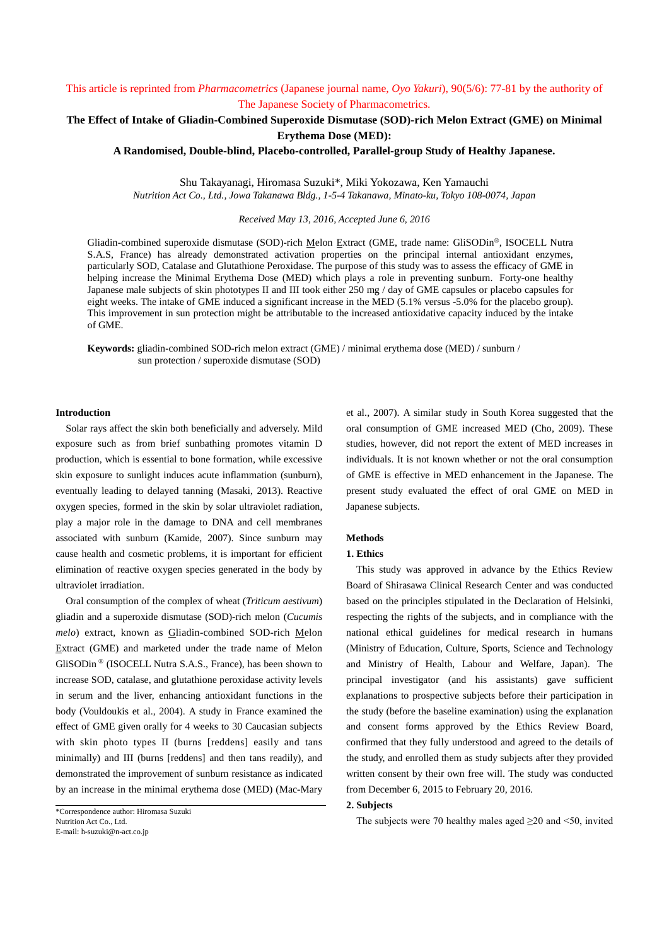# This article is reprinted from *Pharmacometrics* (Japanese journal name, *Oyo Yakuri*), 90(5/6): 77-81 by the authority of The Japanese Society of Pharmacometrics.

# **The Effect of Intake of Gliadin-Combined Superoxide Dismutase (SOD)-rich Melon Extract (GME) on Minimal Erythema Dose (MED):**

**A Randomised, Double-blind, Placebo-controlled, Parallel-group Study of Healthy Japanese.**

Shu Takayanagi, Hiromasa Suzuki\*, Miki Yokozawa, Ken Yamauchi *Nutrition Act Co., Ltd., Jowa Takanawa Bldg., 1-5-4 Takanawa, Minato-ku, Tokyo 108-0074, Japan*

*Received May 13, 2016, Accepted June 6, 2016*

Gliadin-combined superoxide dismutase (SOD)-rich Melon Extract (GME, trade name: GliSODin®, ISOCELL Nutra S.A.S, France) has already demonstrated activation properties on the principal internal antioxidant enzymes, particularly SOD, Catalase and Glutathione Peroxidase. The purpose of this study was to assess the efficacy of GME in helping increase the Minimal Erythema Dose (MED) which plays a role in preventing sunburn. Forty-one healthy Japanese male subjects of skin phototypes II and III took either 250 mg / day of GME capsules or placebo capsules for eight weeks. The intake of GME induced a significant increase in the MED (5.1% versus -5.0% for the placebo group). This improvement in sun protection might be attributable to the increased antioxidative capacity induced by the intake of GME.

**Keywords:** gliadin-combined SOD-rich melon extract (GME) / minimal erythema dose (MED) / sunburn / sun protection / superoxide dismutase (SOD)

#### **Introduction**

Solar rays affect the skin both beneficially and adversely. Mild exposure such as from brief sunbathing promotes vitamin D production, which is essential to bone formation, while excessive skin exposure to sunlight induces acute inflammation (sunburn), eventually leading to delayed tanning (Masaki, 2013). Reactive oxygen species, formed in the skin by solar ultraviolet radiation, play a major role in the damage to DNA and cell membranes associated with sunburn (Kamide, 2007). Since sunburn may cause health and cosmetic problems, it is important for efficient elimination of reactive oxygen species generated in the body by ultraviolet irradiation.

Oral consumption of the complex of wheat (*Triticum aestivum*) gliadin and a superoxide dismutase (SOD)-rich melon (*Cucumis melo*) extract, known as Gliadin-combined SOD-rich Melon Extract (GME) and marketed under the trade name of Melon GliSODin ® (ISOCELL Nutra S.A.S., France), has been shown to increase SOD, catalase, and glutathione peroxidase activity levels in serum and the liver, enhancing antioxidant functions in the body (Vouldoukis et al., 2004). A study in France examined the effect of GME given orally for 4 weeks to 30 Caucasian subjects with skin photo types II (burns [reddens] easily and tans minimally) and III (burns [reddens] and then tans readily), and demonstrated the improvement of sunburn resistance as indicated by an increase in the minimal erythema dose (MED) (Mac-Mary et al., 2007). A similar study in South Korea suggested that the oral consumption of GME increased MED (Cho, 2009). These studies, however, did not report the extent of MED increases in individuals. It is not known whether or not the oral consumption of GME is effective in MED enhancement in the Japanese. The present study evaluated the effect of oral GME on MED in Japanese subjects.

## **Methods**

#### **1. Ethics**

This study was approved in advance by the Ethics Review Board of Shirasawa Clinical Research Center and was conducted based on the principles stipulated in the Declaration of Helsinki, respecting the rights of the subjects, and in compliance with the national ethical guidelines for medical research in humans (Ministry of Education, Culture, Sports, Science and Technology and Ministry of Health, Labour and Welfare, Japan). The principal investigator (and his assistants) gave sufficient explanations to prospective subjects before their participation in the study (before the baseline examination) using the explanation and consent forms approved by the Ethics Review Board, confirmed that they fully understood and agreed to the details of the study, and enrolled them as study subjects after they provided written consent by their own free will. The study was conducted from December 6, 2015 to February 20, 2016.

#### **2. Subjects**

The subjects were 70 healthy males aged  $\geq$ 20 and <50, invited

<sup>\*</sup>Correspondence author: Hiromasa Suzuki Nutrition Act Co., Ltd. E-mail: h-suzuki@n-act.co.jp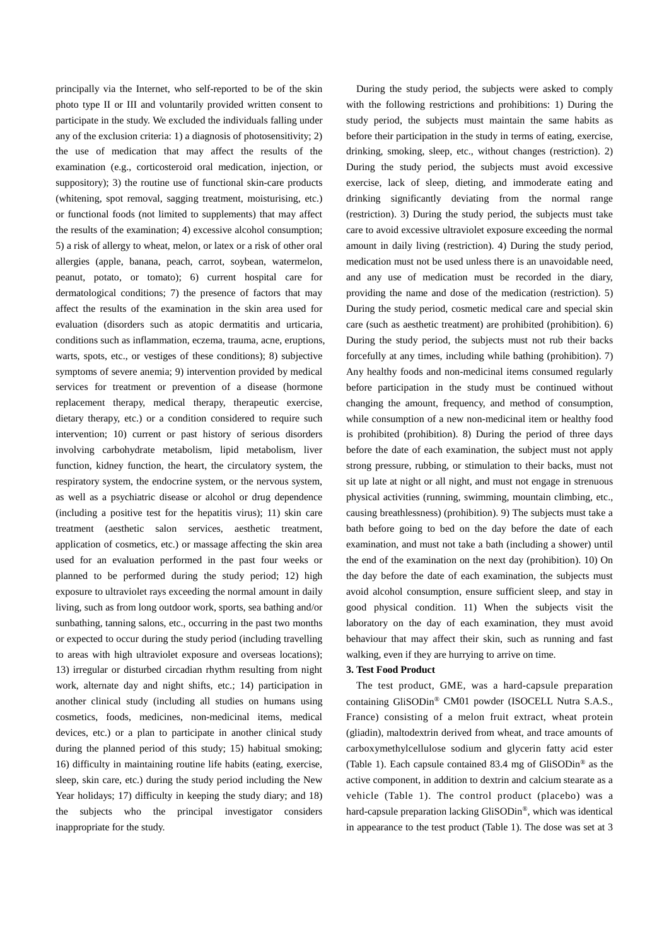principally via the Internet, who self-reported to be of the skin photo type II or III and voluntarily provided written consent to participate in the study. We excluded the individuals falling under any of the exclusion criteria: 1) a diagnosis of photosensitivity; 2) the use of medication that may affect the results of the examination (e.g., corticosteroid oral medication, injection, or suppository); 3) the routine use of functional skin-care products (whitening, spot removal, sagging treatment, moisturising, etc.) or functional foods (not limited to supplements) that may affect the results of the examination; 4) excessive alcohol consumption; 5) a risk of allergy to wheat, melon, or latex or a risk of other oral allergies (apple, banana, peach, carrot, soybean, watermelon, peanut, potato, or tomato); 6) current hospital care for dermatological conditions; 7) the presence of factors that may affect the results of the examination in the skin area used for evaluation (disorders such as atopic dermatitis and urticaria, conditions such as inflammation, eczema, trauma, acne, eruptions, warts, spots, etc., or vestiges of these conditions); 8) subjective symptoms of severe anemia; 9) intervention provided by medical services for treatment or prevention of a disease (hormone replacement therapy, medical therapy, therapeutic exercise, dietary therapy, etc.) or a condition considered to require such intervention; 10) current or past history of serious disorders involving carbohydrate metabolism, lipid metabolism, liver function, kidney function, the heart, the circulatory system, the respiratory system, the endocrine system, or the nervous system, as well as a psychiatric disease or alcohol or drug dependence (including a positive test for the hepatitis virus); 11) skin care treatment (aesthetic salon services, aesthetic treatment, application of cosmetics, etc.) or massage affecting the skin area used for an evaluation performed in the past four weeks or planned to be performed during the study period; 12) high exposure to ultraviolet rays exceeding the normal amount in daily living, such as from long outdoor work, sports, sea bathing and/or sunbathing, tanning salons, etc., occurring in the past two months or expected to occur during the study period (including travelling to areas with high ultraviolet exposure and overseas locations); 13) irregular or disturbed circadian rhythm resulting from night work, alternate day and night shifts, etc.; 14) participation in another clinical study (including all studies on humans using cosmetics, foods, medicines, non-medicinal items, medical devices, etc.) or a plan to participate in another clinical study during the planned period of this study; 15) habitual smoking; 16) difficulty in maintaining routine life habits (eating, exercise, sleep, skin care, etc.) during the study period including the New Year holidays; 17) difficulty in keeping the study diary; and 18) the subjects who the principal investigator considers inappropriate for the study.

During the study period, the subjects were asked to comply with the following restrictions and prohibitions: 1) During the study period, the subjects must maintain the same habits as before their participation in the study in terms of eating, exercise, drinking, smoking, sleep, etc., without changes (restriction). 2) During the study period, the subjects must avoid excessive exercise, lack of sleep, dieting, and immoderate eating and drinking significantly deviating from the normal range (restriction). 3) During the study period, the subjects must take care to avoid excessive ultraviolet exposure exceeding the normal amount in daily living (restriction). 4) During the study period, medication must not be used unless there is an unavoidable need, and any use of medication must be recorded in the diary, providing the name and dose of the medication (restriction). 5) During the study period, cosmetic medical care and special skin care (such as aesthetic treatment) are prohibited (prohibition). 6) During the study period, the subjects must not rub their backs forcefully at any times, including while bathing (prohibition). 7) Any healthy foods and non-medicinal items consumed regularly before participation in the study must be continued without changing the amount, frequency, and method of consumption, while consumption of a new non-medicinal item or healthy food is prohibited (prohibition). 8) During the period of three days before the date of each examination, the subject must not apply strong pressure, rubbing, or stimulation to their backs, must not sit up late at night or all night, and must not engage in strenuous physical activities (running, swimming, mountain climbing, etc., causing breathlessness) (prohibition). 9) The subjects must take a bath before going to bed on the day before the date of each examination, and must not take a bath (including a shower) until the end of the examination on the next day (prohibition). 10) On the day before the date of each examination, the subjects must avoid alcohol consumption, ensure sufficient sleep, and stay in good physical condition. 11) When the subjects visit the laboratory on the day of each examination, they must avoid behaviour that may affect their skin, such as running and fast walking, even if they are hurrying to arrive on time.

#### **3. Test Food Product**

The test product, GME, was a hard-capsule preparation containing GliSODin® CM01 powder (ISOCELL Nutra S.A.S., France) consisting of a melon fruit extract, wheat protein (gliadin), maltodextrin derived from wheat, and trace amounts of carboxymethylcellulose sodium and glycerin fatty acid ester (Table 1). Each capsule contained 83.4 mg of GliSODin® as the active component, in addition to dextrin and calcium stearate as a vehicle (Table 1). The control product (placebo) was a hard-capsule preparation lacking GliSODin®, which was identical in appearance to the test product (Table 1). The dose was set at 3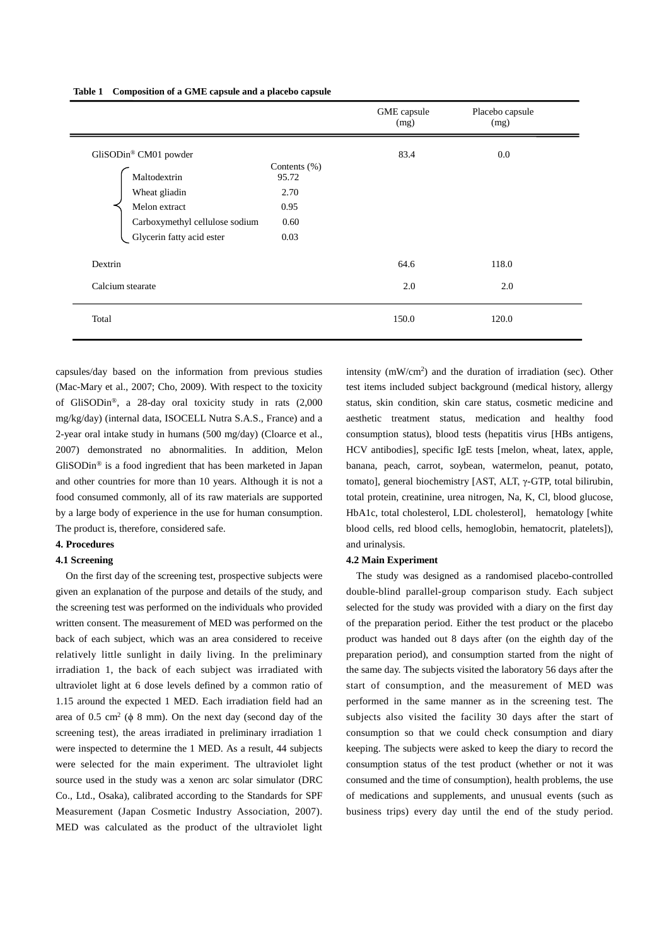|                                                             |                           | GME capsule<br>(mg) | Placebo capsule<br>(mg) |
|-------------------------------------------------------------|---------------------------|---------------------|-------------------------|
| GliSODin® CM01 powder                                       |                           | 83.4                | 0.0                     |
| Maltodextrin                                                | Contents $(\% )$<br>95.72 |                     |                         |
| Wheat gliadin                                               | 2.70                      |                     |                         |
| Melon extract                                               | 0.95                      |                     |                         |
| Carboxymethyl cellulose sodium<br>Glycerin fatty acid ester | 0.60                      |                     |                         |
|                                                             | 0.03                      |                     |                         |
| Dextrin                                                     |                           | 64.6                | 118.0                   |
| Calcium stearate                                            |                           | 2.0                 | 2.0                     |
| Total                                                       |                           | 150.0               | 120.0                   |

capsules/day based on the information from previous studies (Mac-Mary et al., 2007; Cho, 2009). With respect to the toxicity of GliSODin®, a 28-day oral toxicity study in rats (2,000 mg/kg/day) (internal data, ISOCELL Nutra S.A.S., France) and a 2-year oral intake study in humans (500 mg/day) (Cloarce et al., 2007) demonstrated no abnormalities. In addition, Melon GliSODin® is a food ingredient that has been marketed in Japan and other countries for more than 10 years. Although it is not a food consumed commonly, all of its raw materials are supported by a large body of experience in the use for human consumption. The product is, therefore, considered safe.

## **4. Procedures**

## **4.1 Screening**

On the first day of the screening test, prospective subjects were given an explanation of the purpose and details of the study, and the screening test was performed on the individuals who provided written consent. The measurement of MED was performed on the back of each subject, which was an area considered to receive relatively little sunlight in daily living. In the preliminary irradiation 1, the back of each subject was irradiated with ultraviolet light at 6 dose levels defined by a common ratio of 1.15 around the expected 1 MED. Each irradiation field had an area of  $0.5 \text{ cm}^2$  ( $\phi$  8 mm). On the next day (second day of the screening test), the areas irradiated in preliminary irradiation 1 were inspected to determine the 1 MED. As a result, 44 subjects were selected for the main experiment. The ultraviolet light source used in the study was a xenon arc solar simulator (DRC Co., Ltd., Osaka), calibrated according to the Standards for SPF Measurement (Japan Cosmetic Industry Association, 2007). MED was calculated as the product of the ultraviolet light intensity (mW/cm<sup>2</sup>) and the duration of irradiation (sec). Other test items included subject background (medical history, allergy status, skin condition, skin care status, cosmetic medicine and aesthetic treatment status, medication and healthy food consumption status), blood tests (hepatitis virus [HBs antigens, HCV antibodies], specific IgE tests [melon, wheat, latex, apple, banana, peach, carrot, soybean, watermelon, peanut, potato, tomato], general biochemistry [AST, ALT, γ-GTP, total bilirubin, total protein, creatinine, urea nitrogen, Na, K, Cl, blood glucose, HbA1c, total cholesterol, LDL cholesterol], hematology [white blood cells, red blood cells, hemoglobin, hematocrit, platelets]), and urinalysis.

### **4.2 Main Experiment**

The study was designed as a randomised placebo-controlled double-blind parallel-group comparison study. Each subject selected for the study was provided with a diary on the first day of the preparation period. Either the test product or the placebo product was handed out 8 days after (on the eighth day of the preparation period), and consumption started from the night of the same day. The subjects visited the laboratory 56 days after the start of consumption, and the measurement of MED was performed in the same manner as in the screening test. The subjects also visited the facility 30 days after the start of consumption so that we could check consumption and diary keeping. The subjects were asked to keep the diary to record the consumption status of the test product (whether or not it was consumed and the time of consumption), health problems, the use of medications and supplements, and unusual events (such as business trips) every day until the end of the study period.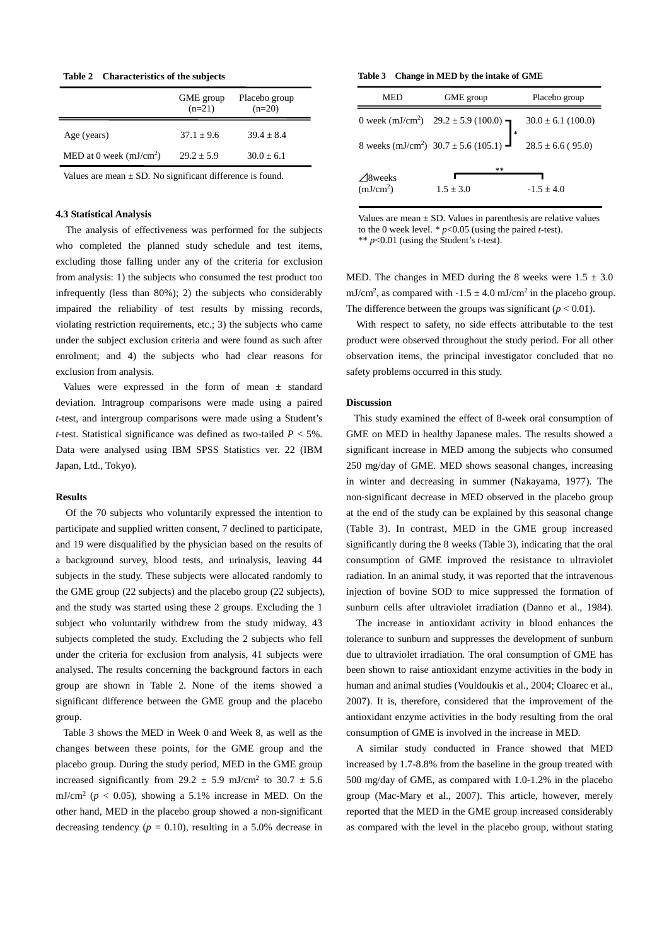**Table 2 Characteristics of the subjects**

|                          | GME group<br>$(n=21)$ | Placebo group<br>$(n=20)$ |
|--------------------------|-----------------------|---------------------------|
| Age (years)              | $37.1 + 9.6$          | $39.4 + 8.4$              |
| MED at 0 week $(mJ/cm2)$ | $29.2 + 5.9$          | $30.0 + 6.1$              |

Values are mean  $\pm$  SD. No significant difference is found.

## **4.3 Statistical Analysis**

The analysis of effectiveness was performed for the subjects who completed the planned study schedule and test items, excluding those falling under any of the criteria for exclusion from analysis: 1) the subjects who consumed the test product too infrequently (less than 80%); 2) the subjects who considerably impaired the reliability of test results by missing records, violating restriction requirements, etc.; 3) the subjects who came under the subject exclusion criteria and were found as such after enrolment; and 4) the subjects who had clear reasons for exclusion from analysis.

Values were expressed in the form of mean ± standard deviation. Intragroup comparisons were made using a paired *t*-test, and intergroup comparisons were made using a Student's *t*-test. Statistical significance was defined as two-tailed *P* < 5%. Data were analysed using IBM SPSS Statistics ver. 22 (IBM Japan, Ltd., Tokyo).

### **Results**

Of the 70 subjects who voluntarily expressed the intention to participate and supplied written consent, 7 declined to participate, and 19 were disqualified by the physician based on the results of a background survey, blood tests, and urinalysis, leaving 44 subjects in the study. These subjects were allocated randomly to the GME group (22 subjects) and the placebo group (22 subjects), and the study was started using these 2 groups. Excluding the 1 subject who voluntarily withdrew from the study midway, 43 subjects completed the study. Excluding the 2 subjects who fell under the criteria for exclusion from analysis, 41 subjects were analysed. The results concerning the background factors in each group are shown in Table 2. None of the items showed a significant difference between the GME group and the placebo group.

Table 3 shows the MED in Week 0 and Week 8, as well as the changes between these points, for the GME group and the placebo group. During the study period, MED in the GME group increased significantly from 29.2  $\pm$  5.9 mJ/cm<sup>2</sup> to 30.7  $\pm$  5.6 mJ/cm<sup>2</sup> ( $p < 0.05$ ), showing a 5.1% increase in MED. On the other hand, MED in the placebo group showed a non-significant decreasing tendency ( $p = 0.10$ ), resulting in a 5.0% decrease in

#### **Table 3 Change in MED by the intake of GME**

| MED                                         | GME group                                                                        | Placebo group  |
|---------------------------------------------|----------------------------------------------------------------------------------|----------------|
|                                             | 0 week (mJ/cm <sup>2</sup> ) $29.2 \pm 5.9$ (100.0)<br>$30.0 \pm 6.1$ (100.0)    |                |
|                                             | 8 weeks (mJ/cm <sup>2</sup> ) 30.7 ± 5.6 (105.1) $\frac{1}{28.5 \pm 6.6}$ (95.0) |                |
| $\triangle$ 8weeks<br>(mJ/cm <sup>2</sup> ) | **<br>$1.5 \pm 3.0$                                                              | $-1.5 \pm 4.0$ |

Values are mean  $\pm$  SD. Values in parenthesis are relative values to the 0 week level.  $* p<0.05$  (using the paired *t*-test). \*\* *p*<0.01 (using the Student's *t*-test).

MED. The changes in MED during the 8 weeks were  $1.5 \pm 3.0$ mJ/cm<sup>2</sup>, as compared with  $-1.5 \pm 4.0$  mJ/cm<sup>2</sup> in the placebo group. The difference between the groups was significant  $(p < 0.01)$ .

With respect to safety, no side effects attributable to the test product were observed throughout the study period. For all other observation items, the principal investigator concluded that no safety problems occurred in this study.

#### **Discussion**

This study examined the effect of 8-week oral consumption of GME on MED in healthy Japanese males. The results showed a significant increase in MED among the subjects who consumed 250 mg/day of GME. MED shows seasonal changes, increasing in winter and decreasing in summer (Nakayama, 1977). The non-significant decrease in MED observed in the placebo group at the end of the study can be explained by this seasonal change (Table 3). In contrast, MED in the GME group increased significantly during the 8 weeks (Table 3), indicating that the oral consumption of GME improved the resistance to ultraviolet radiation. In an animal study, it was reported that the intravenous injection of bovine SOD to mice suppressed the formation of sunburn cells after ultraviolet irradiation (Danno et al., 1984).

The increase in antioxidant activity in blood enhances the tolerance to sunburn and suppresses the development of sunburn due to ultraviolet irradiation. The oral consumption of GME has been shown to raise antioxidant enzyme activities in the body in human and animal studies (Vouldoukis et al., 2004; Cloarec et al., 2007). It is, therefore, considered that the improvement of the antioxidant enzyme activities in the body resulting from the oral consumption of GME is involved in the increase in MED.

A similar study conducted in France showed that MED increased by 1.7-8.8% from the baseline in the group treated with 500 mg/day of GME, as compared with 1.0-1.2% in the placebo group (Mac-Mary et al., 2007). This article, however, merely reported that the MED in the GME group increased considerably as compared with the level in the placebo group, without stating